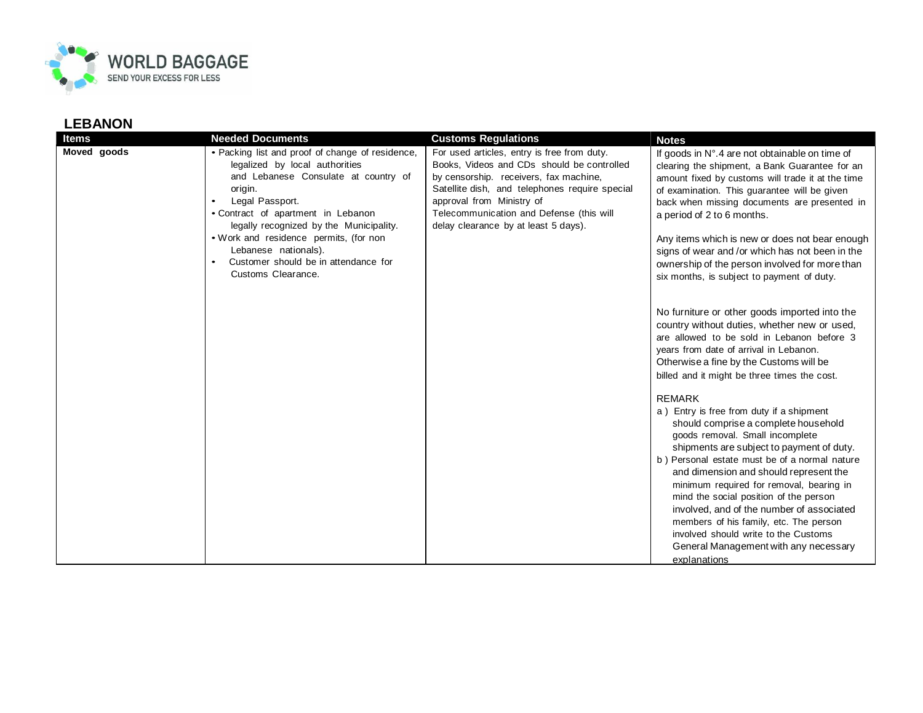

| <b>Items</b> | <b>Needed Documents</b>                                                                                                                                                                                                                                                                                                                                                   | <b>Customs Regulations</b>                                                                                                                                                                                                                                                                             | <b>Notes</b>                                                                                                                                                                                                                                                                                                                                                                                                                                                                                                                                               |
|--------------|---------------------------------------------------------------------------------------------------------------------------------------------------------------------------------------------------------------------------------------------------------------------------------------------------------------------------------------------------------------------------|--------------------------------------------------------------------------------------------------------------------------------------------------------------------------------------------------------------------------------------------------------------------------------------------------------|------------------------------------------------------------------------------------------------------------------------------------------------------------------------------------------------------------------------------------------------------------------------------------------------------------------------------------------------------------------------------------------------------------------------------------------------------------------------------------------------------------------------------------------------------------|
| Moved goods  | • Packing list and proof of change of residence,<br>legalized by local authorities<br>and Lebanese Consulate at country of<br>origin.<br>Legal Passport.<br>• Contract of apartment in Lebanon<br>legally recognized by the Municipality.<br>. Work and residence permits, (for non<br>Lebanese nationals).<br>Customer should be in attendance for<br>Customs Clearance. | For used articles, entry is free from duty.<br>Books, Videos and CDs should be controlled<br>by censorship. receivers, fax machine,<br>Satellite dish, and telephones require special<br>approval from Ministry of<br>Telecommunication and Defense (this will<br>delay clearance by at least 5 days). | If goods in N°.4 are not obtainable on time of<br>clearing the shipment, a Bank Guarantee for an<br>amount fixed by customs will trade it at the time<br>of examination. This guarantee will be given<br>back when missing documents are presented in<br>a period of 2 to 6 months.<br>Any items which is new or does not bear enough<br>signs of wear and /or which has not been in the<br>ownership of the person involved for more than<br>six months, is subject to payment of duty.                                                                   |
|              |                                                                                                                                                                                                                                                                                                                                                                           |                                                                                                                                                                                                                                                                                                        | No furniture or other goods imported into the<br>country without duties, whether new or used,<br>are allowed to be sold in Lebanon before 3<br>years from date of arrival in Lebanon.<br>Otherwise a fine by the Customs will be<br>billed and it might be three times the cost.                                                                                                                                                                                                                                                                           |
|              |                                                                                                                                                                                                                                                                                                                                                                           |                                                                                                                                                                                                                                                                                                        | <b>REMARK</b><br>a) Entry is free from duty if a shipment<br>should comprise a complete household<br>goods removal. Small incomplete<br>shipments are subject to payment of duty.<br>b) Personal estate must be of a normal nature<br>and dimension and should represent the<br>minimum required for removal, bearing in<br>mind the social position of the person<br>involved, and of the number of associated<br>members of his family, etc. The person<br>involved should write to the Customs<br>General Management with any necessary<br>explanations |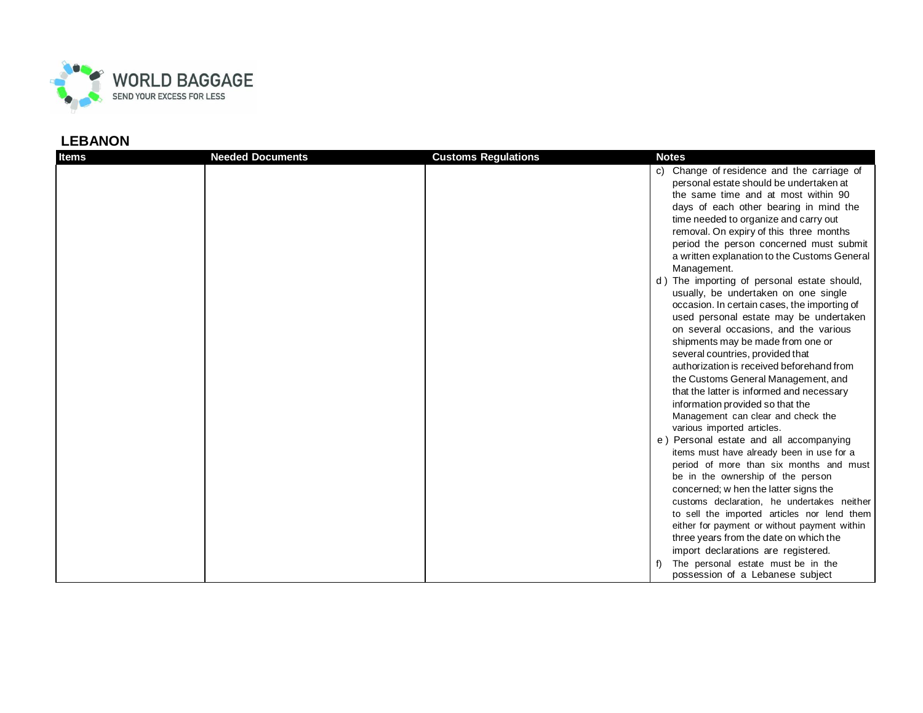

| <b>Items</b> | <b>Needed Documents</b> | <b>Customs Regulations</b> | <b>Notes</b>                                                     |
|--------------|-------------------------|----------------------------|------------------------------------------------------------------|
|              |                         |                            | c) Change of residence and the carriage of                       |
|              |                         |                            | personal estate should be undertaken at                          |
|              |                         |                            | the same time and at most within 90                              |
|              |                         |                            | days of each other bearing in mind the                           |
|              |                         |                            | time needed to organize and carry out                            |
|              |                         |                            | removal. On expiry of this three months                          |
|              |                         |                            | period the person concerned must submit                          |
|              |                         |                            | a written explanation to the Customs General                     |
|              |                         |                            | Management.                                                      |
|              |                         |                            | d) The importing of personal estate should,                      |
|              |                         |                            | usually, be undertaken on one single                             |
|              |                         |                            | occasion. In certain cases, the importing of                     |
|              |                         |                            | used personal estate may be undertaken                           |
|              |                         |                            | on several occasions, and the various                            |
|              |                         |                            | shipments may be made from one or                                |
|              |                         |                            | several countries, provided that                                 |
|              |                         |                            | authorization is received beforehand from                        |
|              |                         |                            | the Customs General Management, and                              |
|              |                         |                            | that the latter is informed and necessary                        |
|              |                         |                            | information provided so that the                                 |
|              |                         |                            | Management can clear and check the<br>various imported articles. |
|              |                         |                            | e) Personal estate and all accompanying                          |
|              |                         |                            | items must have already been in use for a                        |
|              |                         |                            | period of more than six months and must                          |
|              |                         |                            | be in the ownership of the person                                |
|              |                         |                            | concerned; w hen the latter signs the                            |
|              |                         |                            | customs declaration, he undertakes neither                       |
|              |                         |                            | to sell the imported articles nor lend them                      |
|              |                         |                            | either for payment or without payment within                     |
|              |                         |                            | three years from the date on which the                           |
|              |                         |                            | import declarations are registered.                              |
|              |                         |                            | The personal estate must be in the                               |
|              |                         |                            | possession of a Lebanese subject                                 |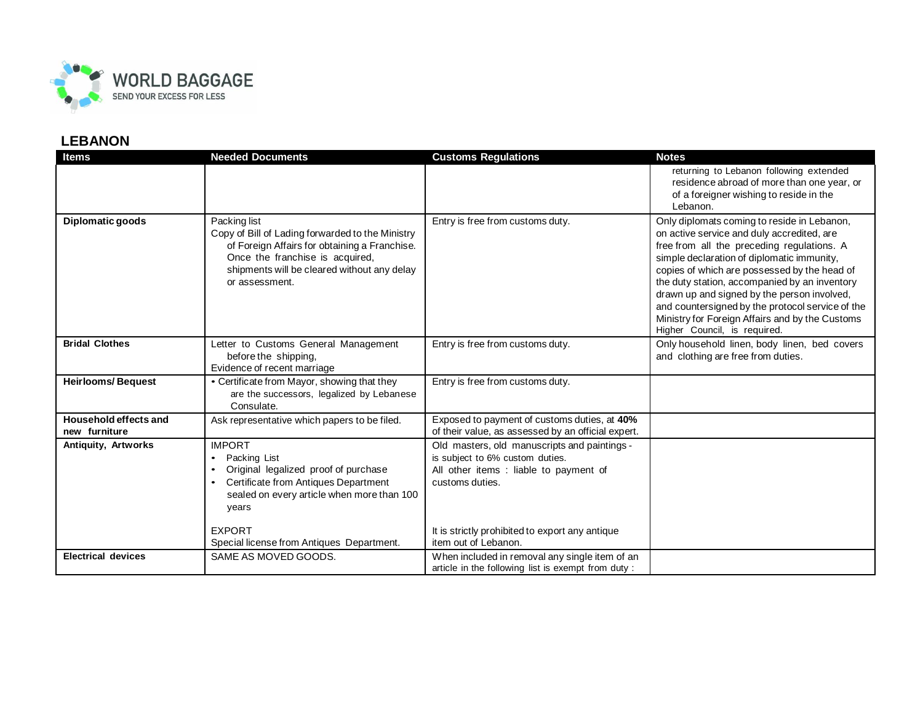

| <b>Items</b>                           | <b>Needed Documents</b>                                                                                                                                                                                               | <b>Customs Regulations</b>                                                                                                                   | <b>Notes</b>                                                                                                                                                                                                                                                                                                                                                                                                                                                                 |
|----------------------------------------|-----------------------------------------------------------------------------------------------------------------------------------------------------------------------------------------------------------------------|----------------------------------------------------------------------------------------------------------------------------------------------|------------------------------------------------------------------------------------------------------------------------------------------------------------------------------------------------------------------------------------------------------------------------------------------------------------------------------------------------------------------------------------------------------------------------------------------------------------------------------|
|                                        |                                                                                                                                                                                                                       |                                                                                                                                              | returning to Lebanon following extended<br>residence abroad of more than one year, or<br>of a foreigner wishing to reside in the<br>Lebanon.                                                                                                                                                                                                                                                                                                                                 |
| Diplomatic goods                       | Packing list<br>Copy of Bill of Lading forwarded to the Ministry<br>of Foreign Affairs for obtaining a Franchise.<br>Once the franchise is acquired,<br>shipments will be cleared without any delay<br>or assessment. | Entry is free from customs duty.                                                                                                             | Only diplomats coming to reside in Lebanon,<br>on active service and duly accredited, are<br>free from all the preceding regulations. A<br>simple declaration of diplomatic immunity,<br>copies of which are possessed by the head of<br>the duty station, accompanied by an inventory<br>drawn up and signed by the person involved,<br>and countersigned by the protocol service of the<br>Ministry for Foreign Affairs and by the Customs<br>Higher Council, is required. |
| <b>Bridal Clothes</b>                  | Letter to Customs General Management<br>before the shipping,<br>Evidence of recent marriage                                                                                                                           | Entry is free from customs duty.                                                                                                             | Only household linen, body linen, bed covers<br>and clothing are free from duties.                                                                                                                                                                                                                                                                                                                                                                                           |
| <b>Heirlooms/Bequest</b>               | • Certificate from Mayor, showing that they<br>are the successors, legalized by Lebanese<br>Consulate.                                                                                                                | Entry is free from customs duty.                                                                                                             |                                                                                                                                                                                                                                                                                                                                                                                                                                                                              |
| Household effects and<br>new furniture | Ask representative which papers to be filed.                                                                                                                                                                          | Exposed to payment of customs duties, at 40%<br>of their value, as assessed by an official expert.                                           |                                                                                                                                                                                                                                                                                                                                                                                                                                                                              |
| Antiquity, Artworks                    | <b>IMPORT</b><br>Packing List<br>$\bullet$<br>Original legalized proof of purchase<br>$\bullet$<br>Certificate from Antiques Department<br>$\bullet$<br>sealed on every article when more than 100<br>years           | Old masters, old manuscripts and paintings -<br>is subject to 6% custom duties.<br>All other items : liable to payment of<br>customs duties. |                                                                                                                                                                                                                                                                                                                                                                                                                                                                              |
|                                        | <b>EXPORT</b><br>Special license from Antiques Department.                                                                                                                                                            | It is strictly prohibited to export any antique<br>item out of Lebanon.                                                                      |                                                                                                                                                                                                                                                                                                                                                                                                                                                                              |
| <b>Electrical devices</b>              | SAME AS MOVED GOODS.                                                                                                                                                                                                  | When included in removal any single item of an<br>article in the following list is exempt from duty:                                         |                                                                                                                                                                                                                                                                                                                                                                                                                                                                              |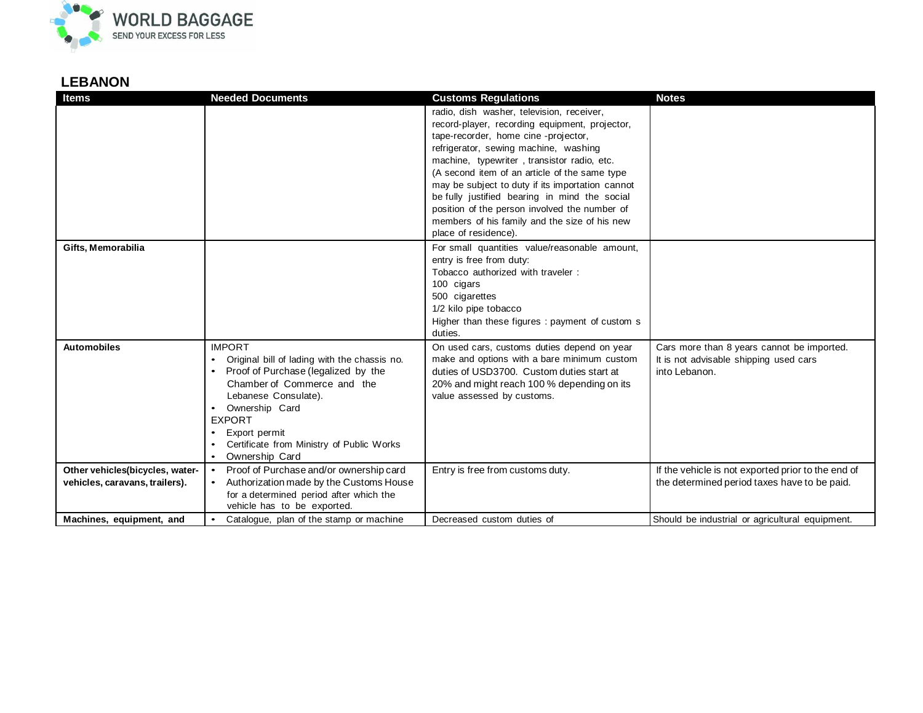

| <b>Items</b>                    | <b>Needed Documents</b>                                                             | <b>Customs Regulations</b>                                                                     | <b>Notes</b>                                       |
|---------------------------------|-------------------------------------------------------------------------------------|------------------------------------------------------------------------------------------------|----------------------------------------------------|
|                                 |                                                                                     | radio, dish washer, television, receiver,<br>record-player, recording equipment, projector,    |                                                    |
|                                 |                                                                                     | tape-recorder, home cine -projector,                                                           |                                                    |
|                                 |                                                                                     | refrigerator, sewing machine, washing                                                          |                                                    |
|                                 |                                                                                     | machine, typewriter, transistor radio, etc.                                                    |                                                    |
|                                 |                                                                                     | (A second item of an article of the same type                                                  |                                                    |
|                                 |                                                                                     | may be subject to duty if its importation cannot                                               |                                                    |
|                                 |                                                                                     | be fully justified bearing in mind the social<br>position of the person involved the number of |                                                    |
|                                 |                                                                                     | members of his family and the size of his new                                                  |                                                    |
|                                 |                                                                                     | place of residence).                                                                           |                                                    |
| Gifts, Memorabilia              |                                                                                     | For small quantities value/reasonable amount,                                                  |                                                    |
|                                 |                                                                                     | entry is free from duty:                                                                       |                                                    |
|                                 |                                                                                     | Tobacco authorized with traveler:                                                              |                                                    |
|                                 |                                                                                     | 100 cigars                                                                                     |                                                    |
|                                 |                                                                                     | 500 cigarettes                                                                                 |                                                    |
|                                 |                                                                                     | 1/2 kilo pipe tobacco<br>Higher than these figures : payment of custom s                       |                                                    |
|                                 |                                                                                     | duties.                                                                                        |                                                    |
| <b>Automobiles</b>              | <b>IMPORT</b>                                                                       | On used cars, customs duties depend on year                                                    | Cars more than 8 years cannot be imported.         |
|                                 | Original bill of lading with the chassis no.<br>$\bullet$                           | make and options with a bare minimum custom                                                    | It is not advisable shipping used cars             |
|                                 | Proof of Purchase (legalized by the<br>$\bullet$                                    | duties of USD3700. Custom duties start at                                                      | into Lebanon.                                      |
|                                 | Chamber of Commerce and the<br>Lebanese Consulate).                                 | 20% and might reach 100 % depending on its                                                     |                                                    |
|                                 | Ownership Card<br>$\bullet$                                                         | value assessed by customs.                                                                     |                                                    |
|                                 | <b>EXPORT</b>                                                                       |                                                                                                |                                                    |
|                                 | Export permit                                                                       |                                                                                                |                                                    |
|                                 | Certificate from Ministry of Public Works                                           |                                                                                                |                                                    |
|                                 | Ownership Card                                                                      |                                                                                                |                                                    |
| Other vehicles(bicycles, water- | Proof of Purchase and/or ownership card<br>$\bullet$                                | Entry is free from customs duty.                                                               | If the vehicle is not exported prior to the end of |
| vehicles, caravans, trailers).  | Authorization made by the Customs House                                             |                                                                                                | the determined period taxes have to be paid.       |
|                                 | for a determined period after which the                                             |                                                                                                |                                                    |
| Machines, equipment, and        | vehicle has to be exported.<br>Catalogue, plan of the stamp or machine<br>$\bullet$ | Decreased custom duties of                                                                     | Should be industrial or agricultural equipment.    |
|                                 |                                                                                     |                                                                                                |                                                    |